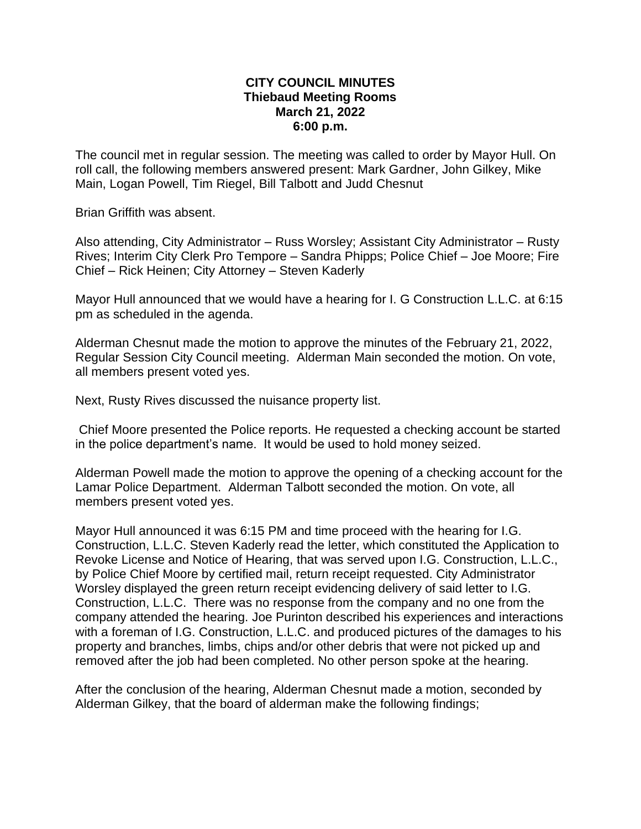## **CITY COUNCIL MINUTES Thiebaud Meeting Rooms March 21, 2022 6:00 p.m.**

The council met in regular session. The meeting was called to order by Mayor Hull. On roll call, the following members answered present: Mark Gardner, John Gilkey, Mike Main, Logan Powell, Tim Riegel, Bill Talbott and Judd Chesnut

Brian Griffith was absent.

Also attending, City Administrator – Russ Worsley; Assistant City Administrator – Rusty Rives; Interim City Clerk Pro Tempore – Sandra Phipps; Police Chief – Joe Moore; Fire Chief – Rick Heinen; City Attorney – Steven Kaderly

Mayor Hull announced that we would have a hearing for I. G Construction L.L.C. at 6:15 pm as scheduled in the agenda.

Alderman Chesnut made the motion to approve the minutes of the February 21, 2022, Regular Session City Council meeting. Alderman Main seconded the motion. On vote, all members present voted yes.

Next, Rusty Rives discussed the nuisance property list.

Chief Moore presented the Police reports. He requested a checking account be started in the police department's name. It would be used to hold money seized.

Alderman Powell made the motion to approve the opening of a checking account for the Lamar Police Department. Alderman Talbott seconded the motion. On vote, all members present voted yes.

Mayor Hull announced it was 6:15 PM and time proceed with the hearing for I.G. Construction, L.L.C. Steven Kaderly read the letter, which constituted the Application to Revoke License and Notice of Hearing, that was served upon I.G. Construction, L.L.C., by Police Chief Moore by certified mail, return receipt requested. City Administrator Worsley displayed the green return receipt evidencing delivery of said letter to I.G. Construction, L.L.C. There was no response from the company and no one from the company attended the hearing. Joe Purinton described his experiences and interactions with a foreman of I.G. Construction, L.L.C. and produced pictures of the damages to his property and branches, limbs, chips and/or other debris that were not picked up and removed after the job had been completed. No other person spoke at the hearing.

After the conclusion of the hearing, Alderman Chesnut made a motion, seconded by Alderman Gilkey, that the board of alderman make the following findings;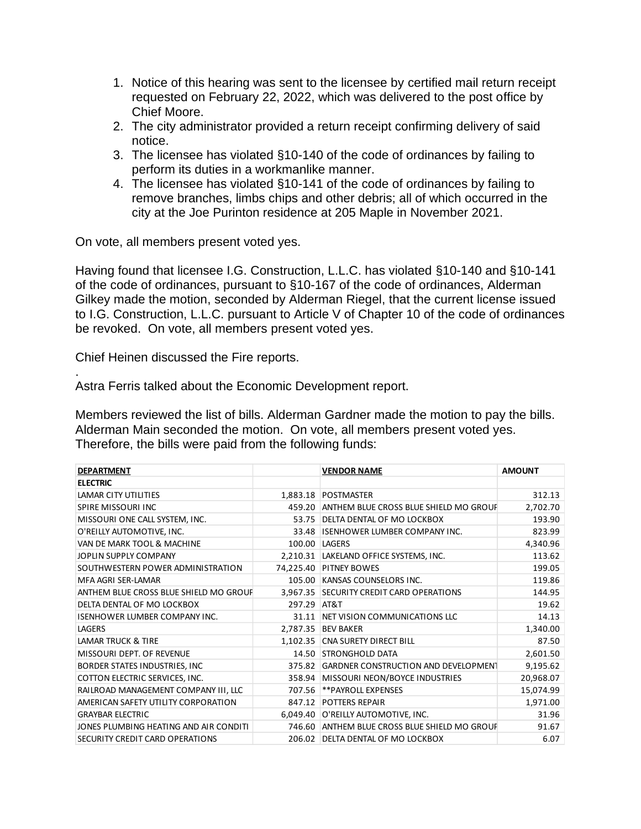- 1. Notice of this hearing was sent to the licensee by certified mail return receipt requested on February 22, 2022, which was delivered to the post office by Chief Moore.
- 2. The city administrator provided a return receipt confirming delivery of said notice.
- 3. The licensee has violated §10-140 of the code of ordinances by failing to perform its duties in a workmanlike manner.
- 4. The licensee has violated §10-141 of the code of ordinances by failing to remove branches, limbs chips and other debris; all of which occurred in the city at the Joe Purinton residence at 205 Maple in November 2021.

On vote, all members present voted yes.

Having found that licensee I.G. Construction, L.L.C. has violated §10-140 and §10-141 of the code of ordinances, pursuant to §10-167 of the code of ordinances, Alderman Gilkey made the motion, seconded by Alderman Riegel, that the current license issued to I.G. Construction, L.L.C. pursuant to Article V of Chapter 10 of the code of ordinances be revoked. On vote, all members present voted yes.

Chief Heinen discussed the Fire reports.

.

Astra Ferris talked about the Economic Development report.

Members reviewed the list of bills. Alderman Gardner made the motion to pay the bills. Alderman Main seconded the motion. On vote, all members present voted yes. Therefore, the bills were paid from the following funds:

| <b>DEPARTMENT</b>                      |          | <b>VENDOR NAME</b>                          | <b>AMOUNT</b> |
|----------------------------------------|----------|---------------------------------------------|---------------|
| <b>ELECTRIC</b>                        |          |                                             |               |
| LAMAR CITY UTILITIES                   |          | 1,883.18 POSTMASTER                         | 312.13        |
| SPIRE MISSOURI INC                     | 459.20   | ANTHEM BLUE CROSS BLUE SHIELD MO GROUF      | 2,702.70      |
| MISSOURI ONE CALL SYSTEM, INC.         | 53.75    | DELTA DENTAL OF MO LOCKBOX                  | 193.90        |
| O'REILLY AUTOMOTIVE, INC.              | 33.48    | <b>ISENHOWER LUMBER COMPANY INC.</b>        | 823.99        |
| VAN DE MARK TOOL & MACHINE             | 100.00   | LAGERS                                      | 4,340.96      |
| JOPLIN SUPPLY COMPANY                  |          | 2,210.31   LAKELAND OFFICE SYSTEMS, INC.    | 113.62        |
| SOUTHWESTERN POWER ADMINISTRATION      |          | 74,225.40 PITNEY BOWES                      | 199.05        |
| MFA AGRI SER-LAMAR                     | 105.00   | KANSAS COUNSELORS INC.                      | 119.86        |
| ANTHEM BLUE CROSS BLUE SHIELD MO GROUP | 3.967.35 | <b>SECURITY CREDIT CARD OPERATIONS</b>      | 144.95        |
| DELTA DENTAL OF MO LOCKBOX             | 297.29   | AT&T                                        | 19.62         |
| <b>ISENHOWER LUMBER COMPANY INC.</b>   | 31.11    | NET VISION COMMUNICATIONS LLC               | 14.13         |
| LAGERS                                 | 2,787.35 | <b>BEV BAKER</b>                            | 1,340.00      |
| <b>LAMAR TRUCK &amp; TIRE</b>          | 1,102.35 | <b>CNA SURETY DIRECT BILL</b>               | 87.50         |
| MISSOURI DEPT. OF REVENUE              |          | 14.50 STRONGHOLD DATA                       | 2,601.50      |
| BORDER STATES INDUSTRIES, INC          | 375.82   | <b>GARDNER CONSTRUCTION AND DEVELOPMENT</b> | 9,195.62      |
| COTTON ELECTRIC SERVICES, INC.         | 358.94   | MISSOURI NEON/BOYCE INDUSTRIES              | 20,968.07     |
| RAILROAD MANAGEMENT COMPANY III, LLC   | 707.56   | **PAYROLL EXPENSES                          | 15,074.99     |
| AMERICAN SAFETY UTILITY CORPORATION    | 847.12   | <b>POTTERS REPAIR</b>                       | 1,971.00      |
| <b>GRAYBAR ELECTRIC</b>                |          | 6,049.40 O'REILLY AUTOMOTIVE, INC.          | 31.96         |
| JONES PLUMBING HEATING AND AIR CONDITI | 746.60   | ANTHEM BLUE CROSS BLUE SHIELD MO GROUF      | 91.67         |
| SECURITY CREDIT CARD OPERATIONS        | 206.02   | DELTA DENTAL OF MO LOCKBOX                  | 6.07          |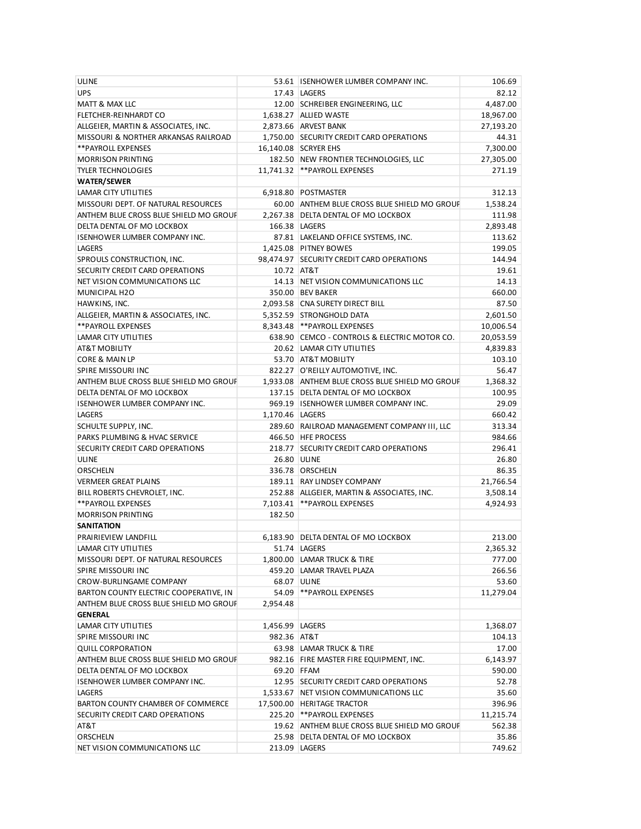| <b>ULINE</b>                           |                   | 53.61 ISENHOWER LUMBER COMPANY INC.             | 106.69    |
|----------------------------------------|-------------------|-------------------------------------------------|-----------|
| <b>UPS</b>                             |                   | 17.43 LAGERS                                    | 82.12     |
| MATT & MAX LLC                         |                   | 12.00 SCHREIBER ENGINEERING, LLC                | 4,487.00  |
| FLETCHER-REINHARDT CO                  |                   | 1,638.27 ALLIED WASTE                           | 18,967.00 |
| ALLGEIER, MARTIN & ASSOCIATES, INC.    |                   | 2,873.66 ARVEST BANK                            | 27,193.20 |
| MISSOURI & NORTHER ARKANSAS RAILROAD   |                   | 1,750.00 SECURITY CREDIT CARD OPERATIONS        | 44.31     |
| **PAYROLL EXPENSES                     |                   | 16,140.08 SCRYER EHS                            | 7,300.00  |
| <b>MORRISON PRINTING</b>               |                   | 182.50 NEW FRONTIER TECHNOLOGIES, LLC           | 27,305.00 |
| <b>TYLER TECHNOLOGIES</b>              |                   | 11,741.32   ** PAYROLL EXPENSES                 | 271.19    |
|                                        |                   |                                                 |           |
| <b>WATER/SEWER</b>                     |                   | 6,918.80 POSTMASTER                             | 312.13    |
| LAMAR CITY UTILITIES                   |                   |                                                 |           |
| MISSOURI DEPT. OF NATURAL RESOURCES    |                   | 60.00 ANTHEM BLUE CROSS BLUE SHIELD MO GROUF    | 1,538.24  |
| ANTHEM BLUE CROSS BLUE SHIELD MO GROUF |                   | 2.267.38 DELTA DENTAL OF MO LOCKBOX             | 111.98    |
| DELTA DENTAL OF MO LOCKBOX             |                   | 166.38 LAGERS                                   | 2,893.48  |
| <b>ISENHOWER LUMBER COMPANY INC.</b>   |                   | 87.81 LAKELAND OFFICE SYSTEMS, INC.             | 113.62    |
| <b>LAGERS</b>                          |                   | 1,425.08 PITNEY BOWES                           | 199.05    |
| SPROULS CONSTRUCTION, INC.             |                   | 98,474.97 SECURITY CREDIT CARD OPERATIONS       | 144.94    |
| SECURITY CREDIT CARD OPERATIONS        | 10.72 AT&T        |                                                 | 19.61     |
| NET VISION COMMUNICATIONS LLC          |                   | 14.13 NET VISION COMMUNICATIONS LLC             | 14.13     |
| MUNICIPAL H2O                          |                   | 350.00 BEV BAKER                                | 660.00    |
| HAWKINS, INC.                          |                   | 2,093.58 CNA SURETY DIRECT BILL                 | 87.50     |
| ALLGEIER, MARTIN & ASSOCIATES, INC.    |                   | 5,352.59 STRONGHOLD DATA                        | 2,601.50  |
| **PAYROLL EXPENSES                     |                   | 8,343.48 ** PAYROLL EXPENSES                    | 10,006.54 |
| LAMAR CITY UTILITIES                   |                   | 638.90 CEMCO - CONTROLS & ELECTRIC MOTOR CO.    | 20,053.59 |
| AT&T MOBILITY                          |                   | 20.62 LAMAR CITY UTILITIES                      | 4,839.83  |
| CORE & MAIN LP                         |                   | 53.70 AT&T MOBILITY                             | 103.10    |
| SPIRE MISSOURI INC                     |                   | 822.27 O'REILLY AUTOMOTIVE, INC.                | 56.47     |
| ANTHEM BLUE CROSS BLUE SHIELD MO GROUF |                   | 1,933.08 ANTHEM BLUE CROSS BLUE SHIELD MO GROUF | 1,368.32  |
| DELTA DENTAL OF MO LOCKBOX             |                   | 137.15 DELTA DENTAL OF MO LOCKBOX               | 100.95    |
| ISENHOWER LUMBER COMPANY INC.          |                   | 969.19 ISENHOWER LUMBER COMPANY INC.            | 29.09     |
| LAGERS                                 | 1,170.46   LAGERS |                                                 | 660.42    |
| SCHULTE SUPPLY, INC.                   |                   | 289.60 RAILROAD MANAGEMENT COMPANY III, LLC     | 313.34    |
| PARKS PLUMBING & HVAC SERVICE          |                   | 466.50 HFE PROCESS                              | 984.66    |
| SECURITY CREDIT CARD OPERATIONS        |                   | 218.77 SECURITY CREDIT CARD OPERATIONS          | 296.41    |
| ULINE                                  |                   | 26.80 ULINE                                     | 26.80     |
| ORSCHELN                               |                   | 336.78 ORSCHELN                                 | 86.35     |
| <b>VERMEER GREAT PLAINS</b>            |                   | 189.11 RAY LINDSEY COMPANY                      | 21,766.54 |
| BILL ROBERTS CHEVROLET, INC.           |                   | 252.88 ALLGEIER, MARTIN & ASSOCIATES, INC.      | 3,508.14  |
| **PAYROLL EXPENSES                     |                   | 7.103.41 ** PAYROLL EXPENSES                    | 4,924.93  |
| <b>MORRISON PRINTING</b>               | 182.50            |                                                 |           |
| <b>SANITATION</b>                      |                   |                                                 |           |
|                                        |                   |                                                 |           |
| PRAIRIEVIEW LANDFILL                   |                   | 6,183.90 DELTA DENTAL OF MO LOCKBOX             | 213.00    |
| LAMAR CITY UTILITIES                   |                   | 51.74 LAGERS                                    | 2,365.32  |
| MISSOURI DEPT. OF NATURAL RESOURCES    |                   | 1,800.00 LAMAR TRUCK & TIRE                     | 777.00    |
| SPIRE MISSOURI INC                     |                   | 459.20 LAMAR TRAVEL PLAZA                       | 266.56    |
| CROW-BURLINGAME COMPANY                |                   | 68.07 ULINE                                     | 53.60     |
| BARTON COUNTY ELECTRIC COOPERATIVE, IN | 54.09             | **PAYROLL EXPENSES                              | 11,279.04 |
| ANTHEM BLUE CROSS BLUE SHIELD MO GROUF | 2,954.48          |                                                 |           |
| <b>GENERAL</b>                         |                   |                                                 |           |
| LAMAR CITY UTILITIES                   | 1,456.99 LAGERS   |                                                 | 1,368.07  |
| SPIRE MISSOURI INC                     | 982.36 AT&T       |                                                 | 104.13    |
| <b>QUILL CORPORATION</b>               |                   | 63.98 LAMAR TRUCK & TIRE                        | 17.00     |
| ANTHEM BLUE CROSS BLUE SHIELD MO GROUF |                   | 982.16 FIRE MASTER FIRE EQUIPMENT, INC.         | 6,143.97  |
| DELTA DENTAL OF MO LOCKBOX             | 69.20 FFAM        |                                                 | 590.00    |
| ISENHOWER LUMBER COMPANY INC.          |                   | 12.95 SECURITY CREDIT CARD OPERATIONS           | 52.78     |
| LAGERS                                 |                   | 1,533.67 NET VISION COMMUNICATIONS LLC          | 35.60     |
| BARTON COUNTY CHAMBER OF COMMERCE      |                   | 17,500.00 HERITAGE TRACTOR                      | 396.96    |
| SECURITY CREDIT CARD OPERATIONS        |                   | 225.20 ** PAYROLL EXPENSES                      | 11,215.74 |
| AT&T                                   |                   | 19.62 ANTHEM BLUE CROSS BLUE SHIELD MO GROUP    | 562.38    |
| ORSCHELN                               |                   | 25.98 DELTA DENTAL OF MO LOCKBOX                | 35.86     |
| NET VISION COMMUNICATIONS LLC          |                   | 213.09   LAGERS                                 | 749.62    |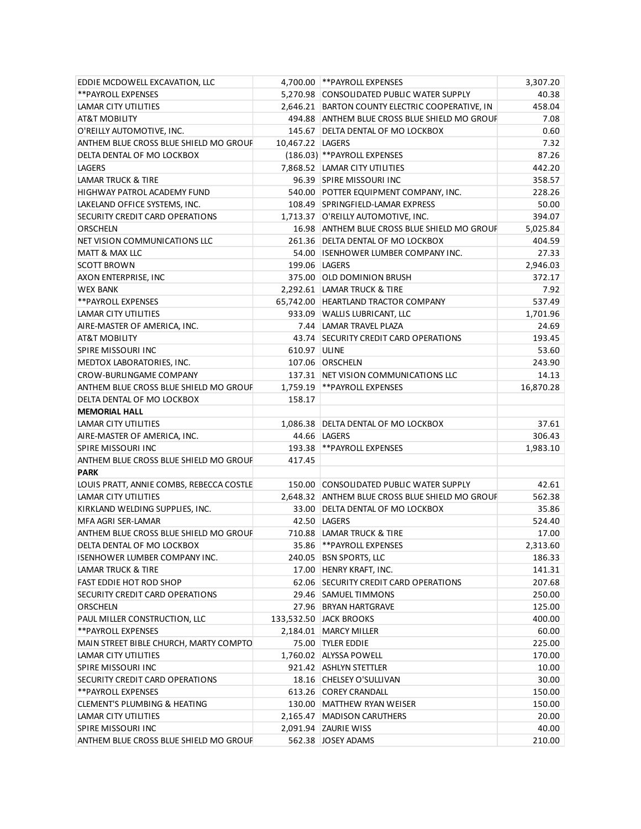| EDDIE MCDOWELL EXCAVATION, LLC           |                    | 4,700.00 ** PAYROLL EXPENSES                    | 3,307.20  |
|------------------------------------------|--------------------|-------------------------------------------------|-----------|
| **PAYROLL EXPENSES                       |                    | 5,270.98 CONSOLIDATED PUBLIC WATER SUPPLY       | 40.38     |
| LAMAR CITY UTILITIES                     |                    | 2,646.21 BARTON COUNTY ELECTRIC COOPERATIVE, IN | 458.04    |
| AT&T MOBILITY                            |                    | 494.88 ANTHEM BLUE CROSS BLUE SHIELD MO GROUF   | 7.08      |
| O'REILLY AUTOMOTIVE, INC.                |                    | 145.67 DELTA DENTAL OF MO LOCKBOX               | 0.60      |
| ANTHEM BLUE CROSS BLUE SHIELD MO GROUF   | 10,467.22   LAGERS |                                                 | 7.32      |
| DELTA DENTAL OF MO LOCKBOX               |                    | (186.03) ** PAYROLL EXPENSES                    | 87.26     |
| <b>LAGERS</b>                            |                    | 7,868.52 LAMAR CITY UTILITIES                   | 442.20    |
| LAMAR TRUCK & TIRE                       |                    | 96.39 SPIRE MISSOURI INC                        | 358.57    |
| HIGHWAY PATROL ACADEMY FUND              |                    | 540.00 POTTER EQUIPMENT COMPANY, INC.           | 228.26    |
| LAKELAND OFFICE SYSTEMS, INC.            |                    | 108.49 SPRINGFIELD-LAMAR EXPRESS                | 50.00     |
| SECURITY CREDIT CARD OPERATIONS          |                    | 1,713.37 O'REILLY AUTOMOTIVE, INC.              | 394.07    |
| <b>ORSCHELN</b>                          |                    | 16.98 ANTHEM BLUE CROSS BLUE SHIELD MO GROUF    | 5,025.84  |
| NET VISION COMMUNICATIONS LLC            |                    | 261.36 DELTA DENTAL OF MO LOCKBOX               | 404.59    |
| MATT & MAX LLC                           |                    | 54.00 ISENHOWER LUMBER COMPANY INC.             | 27.33     |
| <b>SCOTT BROWN</b>                       |                    | 199.06   LAGERS                                 | 2,946.03  |
| AXON ENTERPRISE, INC                     |                    | 375.00 OLD DOMINION BRUSH                       | 372.17    |
| <b>WEX BANK</b>                          |                    | 2,292.61 LAMAR TRUCK & TIRE                     | 7.92      |
| **PAYROLL EXPENSES                       |                    | 65,742.00 HEARTLAND TRACTOR COMPANY             | 537.49    |
| LAMAR CITY UTILITIES                     |                    | 933.09 WALLIS LUBRICANT, LLC                    | 1,701.96  |
| AIRE-MASTER OF AMERICA, INC.             |                    | 7.44 LAMAR TRAVEL PLAZA                         | 24.69     |
| AT&T MOBILITY                            |                    | 43.74 SECURITY CREDIT CARD OPERATIONS           | 193.45    |
| SPIRE MISSOURI INC                       | 610.97 ULINE       |                                                 | 53.60     |
| MEDTOX LABORATORIES, INC.                |                    | 107.06 ORSCHELN                                 | 243.90    |
| CROW-BURLINGAME COMPANY                  |                    | 137.31 NET VISION COMMUNICATIONS LLC            | 14.13     |
| ANTHEM BLUE CROSS BLUE SHIELD MO GROUF   |                    | 1,759.19 ** PAYROLL EXPENSES                    | 16,870.28 |
| DELTA DENTAL OF MO LOCKBOX               | 158.17             |                                                 |           |
| <b>MEMORIAL HALL</b>                     |                    |                                                 |           |
| LAMAR CITY UTILITIES                     |                    | 1,086.38 DELTA DENTAL OF MO LOCKBOX             | 37.61     |
| AIRE-MASTER OF AMERICA, INC.             |                    | 44.66 LAGERS                                    | 306.43    |
| SPIRE MISSOURI INC                       | 193.38             | **PAYROLL EXPENSES                              | 1,983.10  |
| ANTHEM BLUE CROSS BLUE SHIELD MO GROUF   | 417.45             |                                                 |           |
| <b>PARK</b>                              |                    |                                                 |           |
| LOUIS PRATT, ANNIE COMBS, REBECCA COSTLE |                    | 150.00 CONSOLIDATED PUBLIC WATER SUPPLY         | 42.61     |
| LAMAR CITY UTILITIES                     |                    | 2.648.32 ANTHEM BLUE CROSS BLUE SHIELD MO GROUF | 562.38    |
| KIRKLAND WELDING SUPPLIES, INC.          |                    | 33.00 DELTA DENTAL OF MO LOCKBOX                | 35.86     |
| MFA AGRI SER-LAMAR                       |                    | 42.50 LAGERS                                    | 524.40    |
| ANTHEM BLUE CROSS BLUE SHIELD MO GROUF   |                    | 710.88 LAMAR TRUCK & TIRE                       | 17.00     |
| DELTA DENTAL OF MO LOCKBOX               |                    | 35.86 ** PAYROLL EXPENSES                       | 2,313.60  |
| <b>ISENHOWER LUMBER COMPANY INC.</b>     |                    | 240.05 BSN SPORTS, LLC                          | 186.33    |
| <b>LAMAR TRUCK &amp; TIRE</b>            |                    | 17.00 HENRY KRAFT, INC.                         | 141.31    |
| FAST EDDIE HOT ROD SHOP                  |                    | 62.06 SECURITY CREDIT CARD OPERATIONS           | 207.68    |
| SECURITY CREDIT CARD OPERATIONS          |                    | 29.46 SAMUEL TIMMONS                            | 250.00    |
| ORSCHELN                                 |                    | 27.96 BRYAN HARTGRAVE                           | 125.00    |
| PAUL MILLER CONSTRUCTION, LLC            |                    | 133,532.50 JACK BROOKS                          | 400.00    |
| ** PAYROLL EXPENSES                      |                    | 2,184.01   MARCY MILLER                         | 60.00     |
| MAIN STREET BIBLE CHURCH, MARTY COMPTO   |                    | 75.00 TYLER EDDIE                               | 225.00    |
| LAMAR CITY UTILITIES                     |                    | 1,760.02 ALYSSA POWELL                          | 170.00    |
| SPIRE MISSOURI INC                       |                    | 921.42 ASHLYN STETTLER                          | 10.00     |
| SECURITY CREDIT CARD OPERATIONS          |                    | 18.16 CHELSEY O'SULLIVAN                        | 30.00     |
| ** PAYROLL EXPENSES                      |                    | 613.26 COREY CRANDALL                           | 150.00    |
| CLEMENT'S PLUMBING & HEATING             |                    | 130.00 MATTHEW RYAN WEISER                      | 150.00    |
| LAMAR CITY UTILITIES                     |                    | 2,165.47 MADISON CARUTHERS                      | 20.00     |
| SPIRE MISSOURI INC                       |                    | 2,091.94 ZAURIE WISS                            | 40.00     |
| ANTHEM BLUE CROSS BLUE SHIELD MO GROUF   |                    | 562.38 JOSEY ADAMS                              | 210.00    |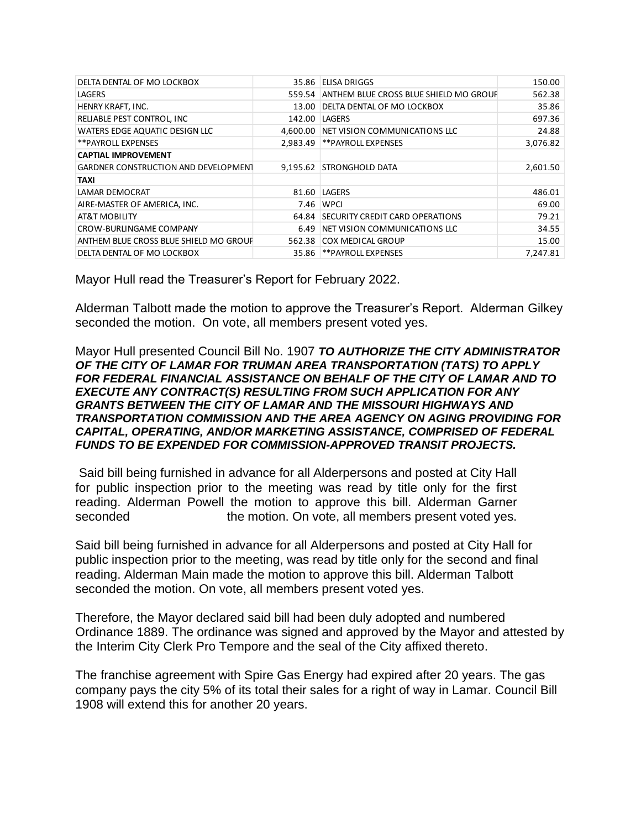| DELTA DENTAL OF MO LOCKBOX                  | 35.86    | <b>ELISA DRIGGS</b>                    | 150.00   |
|---------------------------------------------|----------|----------------------------------------|----------|
| LAGERS                                      | 559.54   | ANTHEM BLUE CROSS BLUE SHIELD MO GROUF | 562.38   |
| HENRY KRAFT, INC.                           | 13.00    | DELTA DENTAL OF MO LOCKBOX             | 35.86    |
| RELIABLE PEST CONTROL, INC                  | 142.00   | LAGERS                                 | 697.36   |
| WATERS EDGE AQUATIC DESIGN LLC              | 4.600.00 | NET VISION COMMUNICATIONS LLC          | 24.88    |
| **PAYROLL EXPENSES                          | 2.983.49 | **PAYROLL EXPENSES                     | 3,076.82 |
| <b>CAPTIAL IMPROVEMENT</b>                  |          |                                        |          |
| <b>GARDNER CONSTRUCTION AND DEVELOPMENT</b> |          | 9,195.62 STRONGHOLD DATA               | 2,601.50 |
| TAXI                                        |          |                                        |          |
| LAMAR DEMOCRAT                              | 81.60    | LAGERS                                 | 486.01   |
| AIRE-MASTER OF AMERICA, INC.                | 7.46     | <b>WPCI</b>                            | 69.00    |
| <b>AT&amp;T MOBILITY</b>                    | 64.84    | <b>SECURITY CREDIT CARD OPERATIONS</b> | 79.21    |
| <b>CROW-BURLINGAME COMPANY</b>              | 6.49     | NET VISION COMMUNICATIONS LLC          | 34.55    |
| ANTHEM BLUE CROSS BLUE SHIELD MO GROUF      | 562.38   | <b>COX MEDICAL GROUP</b>               | 15.00    |
| DELTA DENTAL OF MO LOCKBOX                  | 35.86    | **PAYROLL EXPENSES                     | 7.247.81 |

Mayor Hull read the Treasurer's Report for February 2022.

Alderman Talbott made the motion to approve the Treasurer's Report. Alderman Gilkey seconded the motion. On vote, all members present voted yes.

Mayor Hull presented Council Bill No. 1907 *TO AUTHORIZE THE CITY ADMINISTRATOR OF THE CITY OF LAMAR FOR TRUMAN AREA TRANSPORTATION (TATS) TO APPLY FOR FEDERAL FINANCIAL ASSISTANCE ON BEHALF OF THE CITY OF LAMAR AND TO EXECUTE ANY CONTRACT(S) RESULTING FROM SUCH APPLICATION FOR ANY GRANTS BETWEEN THE CITY OF LAMAR AND THE MISSOURI HIGHWAYS AND TRANSPORTATION COMMISSION AND THE AREA AGENCY ON AGING PROVIDING FOR CAPITAL, OPERATING, AND/OR MARKETING ASSISTANCE, COMPRISED OF FEDERAL FUNDS TO BE EXPENDED FOR COMMISSION-APPROVED TRANSIT PROJECTS.*

Said bill being furnished in advance for all Alderpersons and posted at City Hall for public inspection prior to the meeting was read by title only for the first reading. Alderman Powell the motion to approve this bill. Alderman Garner seconded **the motion.** On vote, all members present voted yes.

Said bill being furnished in advance for all Alderpersons and posted at City Hall for public inspection prior to the meeting, was read by title only for the second and final reading. Alderman Main made the motion to approve this bill. Alderman Talbott seconded the motion. On vote, all members present voted yes.

Therefore, the Mayor declared said bill had been duly adopted and numbered Ordinance 1889. The ordinance was signed and approved by the Mayor and attested by the Interim City Clerk Pro Tempore and the seal of the City affixed thereto.

The franchise agreement with Spire Gas Energy had expired after 20 years. The gas company pays the city 5% of its total their sales for a right of way in Lamar. Council Bill 1908 will extend this for another 20 years.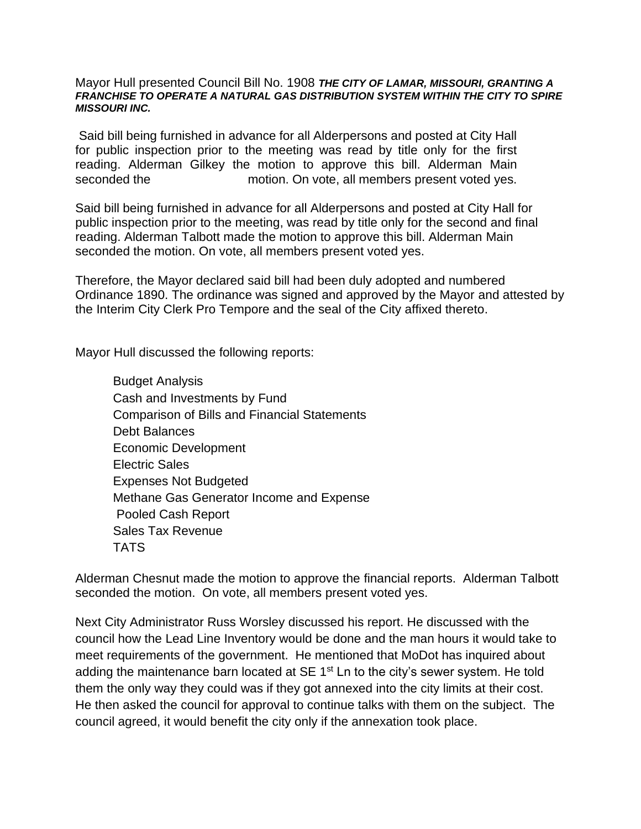## Mayor Hull presented Council Bill No. 1908 *THE CITY OF LAMAR, MISSOURI, GRANTING A FRANCHISE TO OPERATE A NATURAL GAS DISTRIBUTION SYSTEM WITHIN THE CITY TO SPIRE MISSOURI INC.*

Said bill being furnished in advance for all Alderpersons and posted at City Hall for public inspection prior to the meeting was read by title only for the first reading. Alderman Gilkey the motion to approve this bill. Alderman Main seconded the motion. On vote, all members present voted yes.

Said bill being furnished in advance for all Alderpersons and posted at City Hall for public inspection prior to the meeting, was read by title only for the second and final reading. Alderman Talbott made the motion to approve this bill. Alderman Main seconded the motion. On vote, all members present voted yes.

Therefore, the Mayor declared said bill had been duly adopted and numbered Ordinance 1890. The ordinance was signed and approved by the Mayor and attested by the Interim City Clerk Pro Tempore and the seal of the City affixed thereto.

Mayor Hull discussed the following reports:

Budget Analysis Cash and Investments by Fund Comparison of Bills and Financial Statements Debt Balances Economic Development Electric Sales Expenses Not Budgeted Methane Gas Generator Income and Expense Pooled Cash Report Sales Tax Revenue **TATS** 

Alderman Chesnut made the motion to approve the financial reports. Alderman Talbott seconded the motion. On vote, all members present voted yes.

Next City Administrator Russ Worsley discussed his report. He discussed with the council how the Lead Line Inventory would be done and the man hours it would take to meet requirements of the government. He mentioned that MoDot has inquired about adding the maintenance barn located at SE 1<sup>st</sup> Ln to the city's sewer system. He told them the only way they could was if they got annexed into the city limits at their cost. He then asked the council for approval to continue talks with them on the subject. The council agreed, it would benefit the city only if the annexation took place.